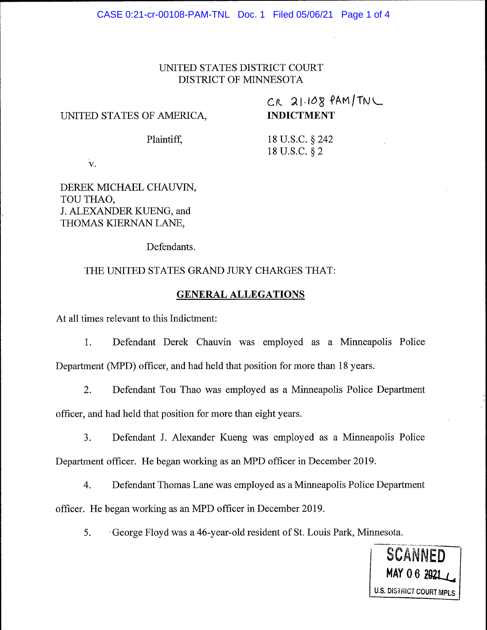### UMTED STATES DISTRICT COURT DISTRICT OF MINNESOTA

#### UNITED STATES OF AMERICA,

# $CR$  21.108  $PAM/TN$ INDICTMENT

Plaintiff.

18 U.S.C. S 242 18 U.S.C. \$ 2

v.

## DEREK MICHAEL CHAUVIN, TOU THAO, J. ALEXANDER KUENG, and THOMAS KIERNAN LANE.

Defendants.

#### THE UNITED STATES GRAND JURY CHARGES THAT:

#### GENERAL ALLEGATIONS

At all times relevant to this Indictment:

1. Defendant Derek Chauvin was employed as a Minneapolis Police Department (MPD) officer, and had held that position for more than 18 years.

2. Defendant Tou Thao was employed as a Minneapolis Police Department officer, and had held that position for more than eight years.

3. Defendant J. Alexander Kueng was employed as a Minneapolis Police Department officer. He began working as an MPD officer in December 2019.

4. Defendant Thomas Lane was employed as a Minneapolis Police Department officer. He began working as an MPD officer in December 2019.

5. 'George Flovd was a 46-vear-old resident of St. Louis Park. Minnesota.

**SCANNED U.S. DISTRICT COURT MPLS**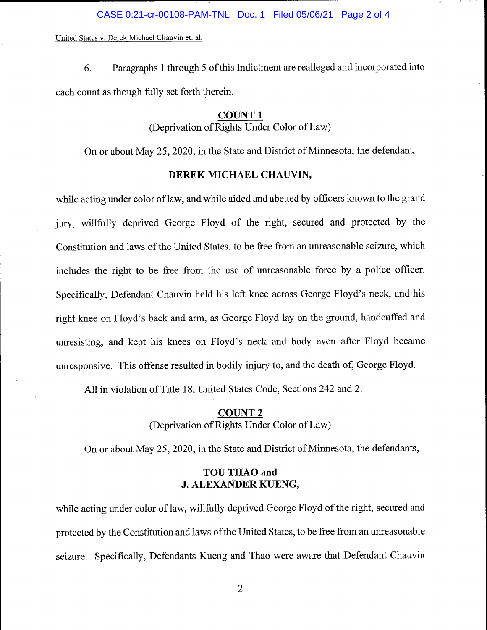CASE 0:21-cr-00108-PAM-TNL Doc. 1 Filed 05/06/21 Page 2 of 4

United States v. Derek Michael Chauvin et. al.

6. Paragraphs 1 through 5 of this Indictment are realleged and incorporated into each count as though fully set forth therein.

#### COUNT <sup>1</sup>

(Deprivation of Rights Under Color of Law)

On or about May 25,2020, in the State and District of Minnesota, the defendant,

#### DEREK MICHAEL CHAUVIN,

while acting under color of law, and while aided and abetted by officers known to the grand jury, willfully deprived George Floyd of the right, secured and protected by the Constitution and laws of the United States, to be free from an unreasonable seizure, which includes the right to be free from the use of unreasonable force by a police officer. Specifically, Defendant Chauvin held his left knee across George Floyd's neck, and his right knee on Floyd's back and arm, as George Floyd lay on the ground, handcuffed and unresisting, and kept his knees on Floyd's neck and body even after Floyd became unresponsive. This offense resulted in bodily injury to, and the death of, George Floyd.

All in violation of Title 18, United States Code, Sections 242 and2.

## COUNT 2 (Deprivation of Rights Under Color of Law)

On or about May 25,2020, in the State and District of Minnesota, the defendants,

#### TOU THAO and J. ALEXANDER KUENG,

while acting under color of law, willfully deprived George Floyd of the right, secured and protected by the Constitution and laws ofthe United States, to be free from an unreasonable seizure. Specifically, Defendants Kueng and Thao were aware that Defendant Chauvin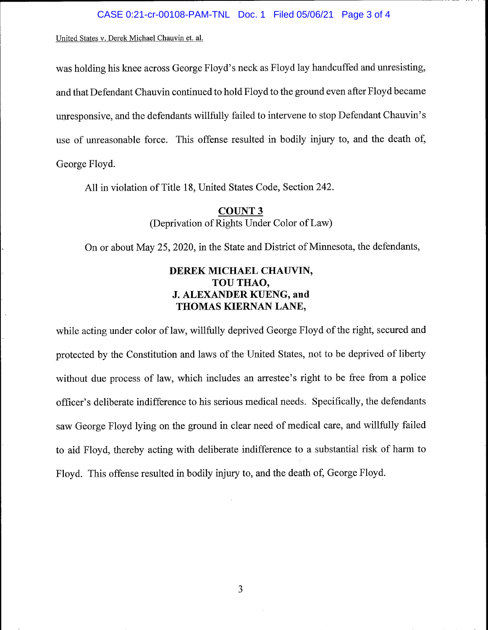United States v. Derek Michael Chauvin et. al.

was holding his knee across George Floyd's neck as Floyd lay handcuffed and unresisting, and that Defendant Chauvin continued to hold Floyd to the ground even after Floyd became unresponsive, and the defendants willfully failed to intervene to stop Defendant Chauvin's use of unreasonable force. This offense resulted in bodily injury to, and the death of, George Floyd.

All in violation of Title 18, United States Code, Section 242.

COUNT 3 (Deprivation of Rights Under Color of Law)

On or about May 25,2020, in the State and District of Minnesota, the defendants,

## DEREK MICHAEL CHAUVIN, TOU THAO, J. ALEXANDER KUENG, and THOMAS KIERNAN LANE,

while acting under color of law, willfully deprived George Floyd of the right, secured and protected by the Constitution and laws of the United States, not to be deprived of liberty without due process of law, which includes an arrestee's right to be free from a police officer's deliberate indifference to his serious medical needs. Specifically, the defendants saw George Floyd lying on the ground in clear need of medical care, and willfully failed to aid Floyd, thereby acting with deliberate indifference to a substantial risk of harm to Floyd. This offense resulted in bodily injury to, and the death of, George Floyd.